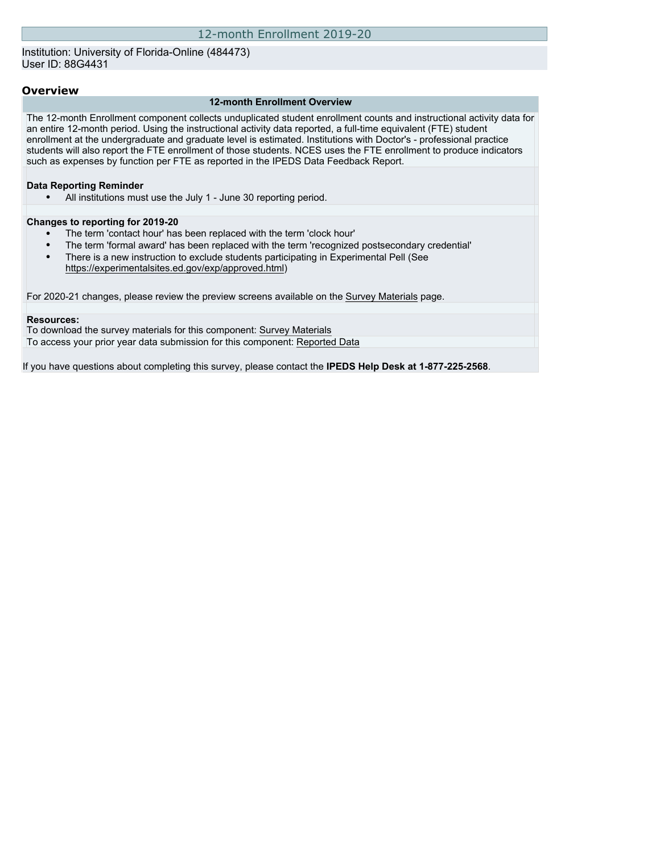## Institution: University of Florida-Online (484473) User ID: 88G4431

## **Overview**

### **12-month Enrollment Overview**

The 12-month Enrollment component collects unduplicated student enrollment counts and instructional activity data for an entire 12-month period. Using the instructional activity data reported, a full-time equivalent (FTE) student enrollment at the undergraduate and graduate level is estimated. Institutions with Doctor's - professional practice students will also report the FTE enrollment of those students. NCES uses the FTE enrollment to produce indicators such as expenses by function per FTE as reported in the IPEDS Data Feedback Report.

## **Data Reporting Reminder**

• All institutions must use the July 1 - June 30 reporting period.

#### **Changes to reporting for 2019-20**

- The term 'contact hour' has been replaced with the term 'clock hour'
- The term 'formal award' has been replaced with the term 'recognized postsecondary credential'
- There is a new instruction to exclude students participating in Experimental Pell (See [https://experimentalsites.ed.gov/exp/approved.html\)](https://experimentalsites.ed.gov/exp/approved.html)

For 2020-21 changes, please review the preview screens available on the [Survey Materials](https://surveys.nces.ed.gov/ipeds/VisIndex.aspx) page.

#### **Resources:**

To download the survey materials for this component: [Survey Materials](https://surveys.nces.ed.gov/ipeds/VisIndex.aspx) To access your prior year data submission for this component: [Reported Data](http://192.168.102.153/ipeds/PriorYearDataRedirect.aspx?survey_id=9)

If you have questions about completing this survey, please contact the **IPEDS Help Desk at 1-877-225-2568**.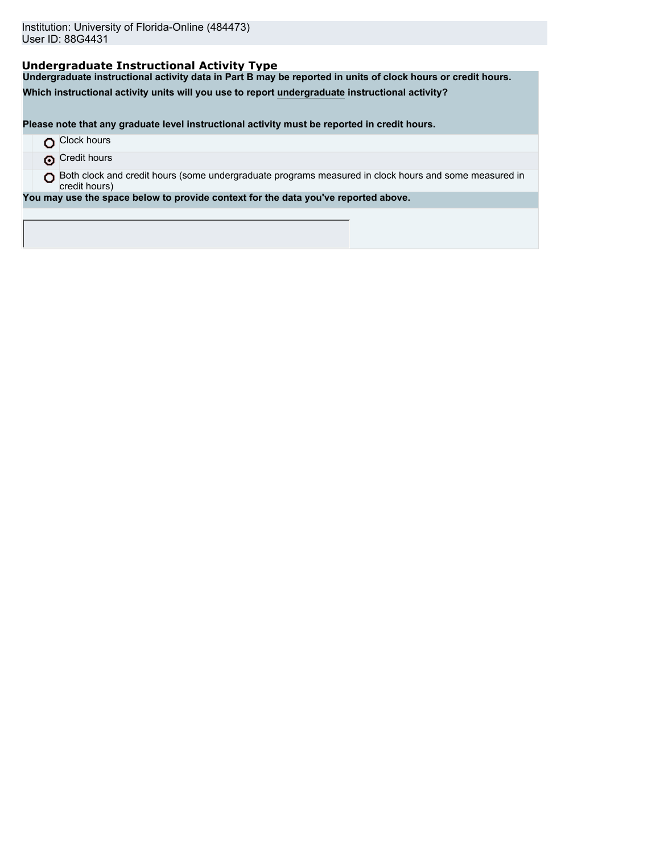# **Undergraduate Instructional Activity Type**

**Undergraduate instructional activity data in Part B may be reported in units of clock hours or credit hours.**

**Which instructional activity units will you use to report undergraduate instructional activity?**

**Please note that any graduate level instructional activity must be reported in credit hours.**

|  | Clock hours |
|--|-------------|
|--|-------------|

**O** Credit hours

O Both clock and credit hours (some undergraduate programs measured in clock hours and some measured in credit hours)

**You may use the space below to provide context for the data you've reported above.**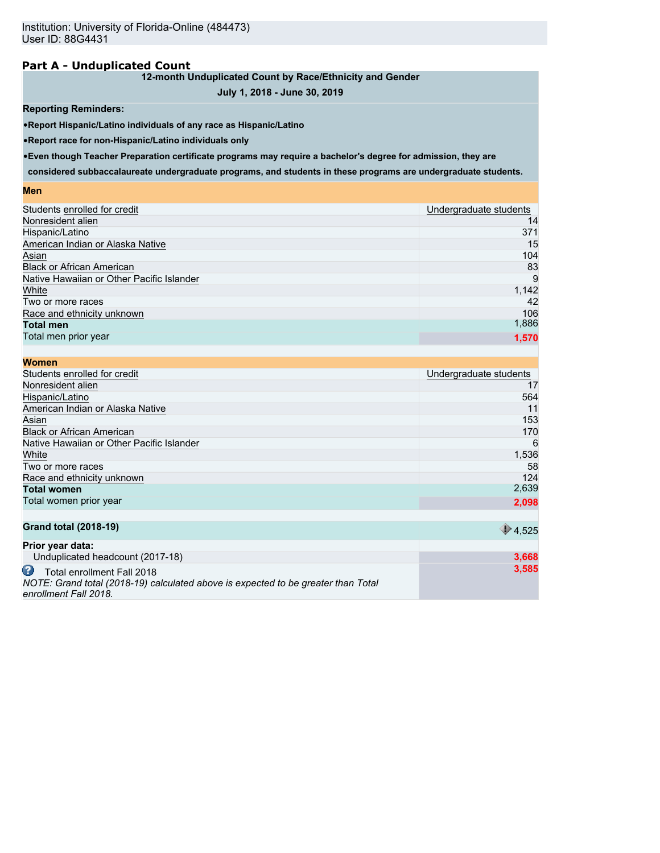# **Part A - Unduplicated Count**

## **12-month Unduplicated Count by Race/Ethnicity and Gender**

# **July 1, 2018 - June 30, 2019**

## **Reporting Reminders:**

•**Report Hispanic/Latino individuals of any race as Hispanic/Latino**

•**Report race for non-Hispanic/Latino individuals only**

•**Even though Teacher Preparation certificate programs may require a bachelor's degree for admission, they are**

**considered subbaccalaureate undergraduate programs, and students in these programs are undergraduate students.**

#### **Men**

| Students enrolled for credit              | Undergraduate students |
|-------------------------------------------|------------------------|
| Nonresident alien                         | 14                     |
| Hispanic/Latino                           | 371                    |
| American Indian or Alaska Native          | 15                     |
| Asian                                     | 104                    |
| <b>Black or African American</b>          | 83                     |
| Native Hawaiian or Other Pacific Islander | -9                     |
| White                                     | 1,142                  |
| Two or more races                         | 42                     |
| Race and ethnicity unknown                | 106                    |
| <b>Total men</b>                          | 1,886                  |
| Total men prior year                      | 1,570                  |
|                                           |                        |

| <b>Women</b>                              |                          |
|-------------------------------------------|--------------------------|
| Students enrolled for credit              | Undergraduate students   |
| Nonresident alien                         | 17                       |
| Hispanic/Latino                           | 564                      |
| American Indian or Alaska Native          | 11                       |
| Asian                                     | 153                      |
| <b>Black or African American</b>          | 170                      |
| Native Hawaiian or Other Pacific Islander | 6                        |
| White                                     | 1,536                    |
| Two or more races                         | 58                       |
| Race and ethnicity unknown                | 124                      |
| <b>Total women</b>                        | 2,639                    |
| Total women prior year                    | 2,098                    |
|                                           |                          |
| <b>Grand total (2018-19)</b>              | $\bigtriangledown$ 4,525 |
| Prior year data:                          |                          |

| 3.668 |
|-------|
| 3.585 |
|       |
|       |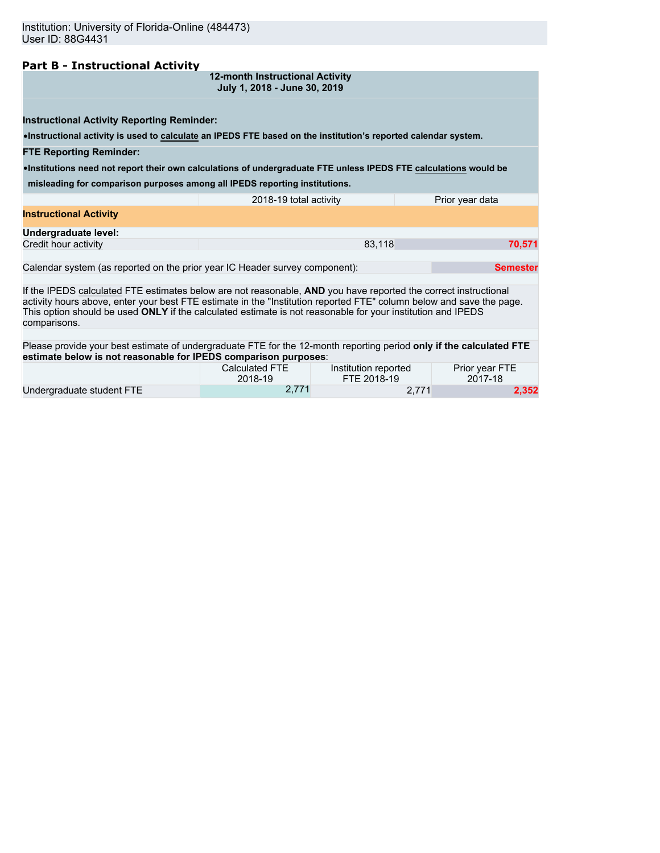# **Part B - Instructional Activity**

| 12-month Instructional Activity |  |
|---------------------------------|--|
| July 1, 2018 - June 30, 2019    |  |

**Instructional Activity Reporting Reminder:**

•**Instructional activity is used to calculate an IPEDS FTE based on the institution's reported calendar system.**

#### **FTE Reporting Reminder:**

•**Institutions need not report their own calculations of undergraduate FTE unless IPEDS FTE calculations would be**

**misleading for comparison purposes among all IPEDS reporting institutions.**

|                               | 2018-19 total activity | Prior year data |
|-------------------------------|------------------------|-----------------|
| <b>Instructional Activity</b> |                        |                 |
| Undergraduate level:          |                        |                 |
| Credit hour activity          | 83,118                 | 70.571          |
|                               |                        |                 |

Calendar system (as reported on the prior year IC Header survey component): **Semester Semester** 

If the IPEDS calculated FTE estimates below are not reasonable, **AND** you have reported the correct instructional activity hours above, enter your best FTE estimate in the "Institution reported FTE" column below and save the page. This option should be used **ONLY** if the calculated estimate is not reasonable for your institution and IPEDS comparisons.

Please provide your best estimate of undergraduate FTE for the 12-month reporting period **only if the calculated FTE estimate below is not reasonable for IPEDS comparison purposes**:

|                           | Calculated FTE | Institution reported | Prior year FTE |
|---------------------------|----------------|----------------------|----------------|
|                           | 2018-19        | FTE 2018-19          | 2017-18        |
| Undergraduate student FTE | 2.771          |                      | 2,352          |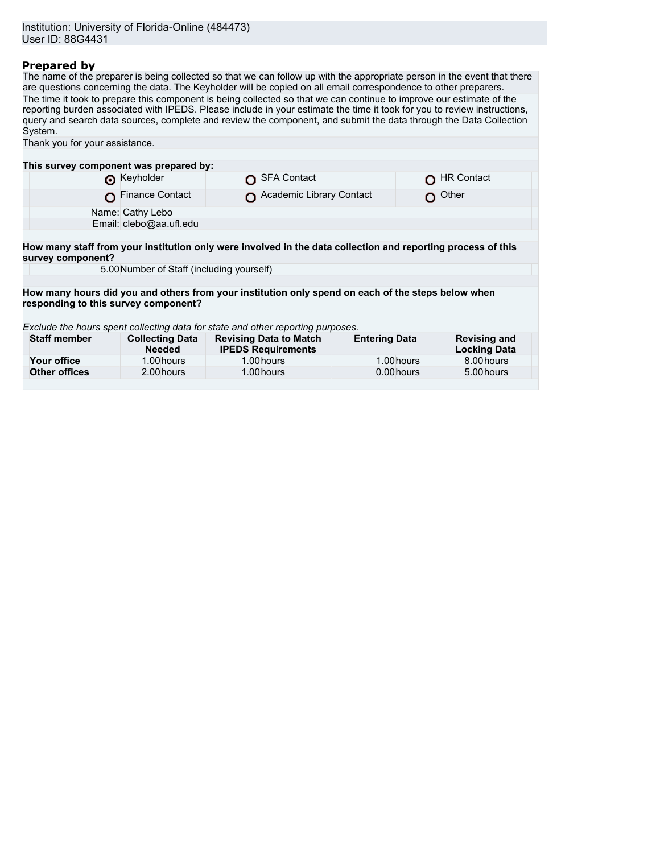# **Prepared by**

The name of the preparer is being collected so that we can follow up with the appropriate person in the event that there are questions concerning the data. The Keyholder will be copied on all email correspondence to other preparers. The time it took to prepare this component is being collected so that we can continue to improve our estimate of the reporting burden associated with IPEDS. Please include in your estimate the time it took for you to review instructions, query and search data sources, complete and review the component, and submit the data through the Data Collection System. Thank you for your assistance.

| This survey component was prepared by:                                                                                            |                                           |  |                                                            |                      |            |                                            |
|-----------------------------------------------------------------------------------------------------------------------------------|-------------------------------------------|--|------------------------------------------------------------|----------------------|------------|--------------------------------------------|
|                                                                                                                                   | Reyholder                                 |  | SFA Contact                                                |                      |            | <b>HR Contact</b>                          |
|                                                                                                                                   | Finance Contact                           |  | Academic Library Contact                                   |                      |            | Other                                      |
|                                                                                                                                   | Name: Cathy Lebo                          |  |                                                            |                      |            |                                            |
|                                                                                                                                   | Email: clebo@aa.ufl.edu                   |  |                                                            |                      |            |                                            |
|                                                                                                                                   |                                           |  |                                                            |                      |            |                                            |
| How many staff from your institution only were involved in the data collection and reporting process of this<br>survey component? |                                           |  |                                                            |                      |            |                                            |
|                                                                                                                                   | 5.00 Number of Staff (including yourself) |  |                                                            |                      |            |                                            |
|                                                                                                                                   |                                           |  |                                                            |                      |            |                                            |
| How many hours did you and others from your institution only spend on each of the steps below when                                |                                           |  |                                                            |                      |            |                                            |
| responding to this survey component?                                                                                              |                                           |  |                                                            |                      |            |                                            |
| Exclude the hours spent collecting data for state and other reporting purposes.                                                   |                                           |  |                                                            |                      |            |                                            |
| <b>Staff member</b>                                                                                                               | <b>Collecting Data</b><br><b>Needed</b>   |  | <b>Revising Data to Match</b><br><b>IPEDS Requirements</b> | <b>Entering Data</b> |            | <b>Revising and</b><br><b>Locking Data</b> |
| Your office                                                                                                                       | 1.00 hours                                |  | 1.00 hours                                                 |                      | 1.00 hours | 8.00 hours                                 |
| <b>Other offices</b>                                                                                                              | 2.00 hours                                |  | 1.00 hours                                                 |                      | 0.00 hours | 5.00 hours                                 |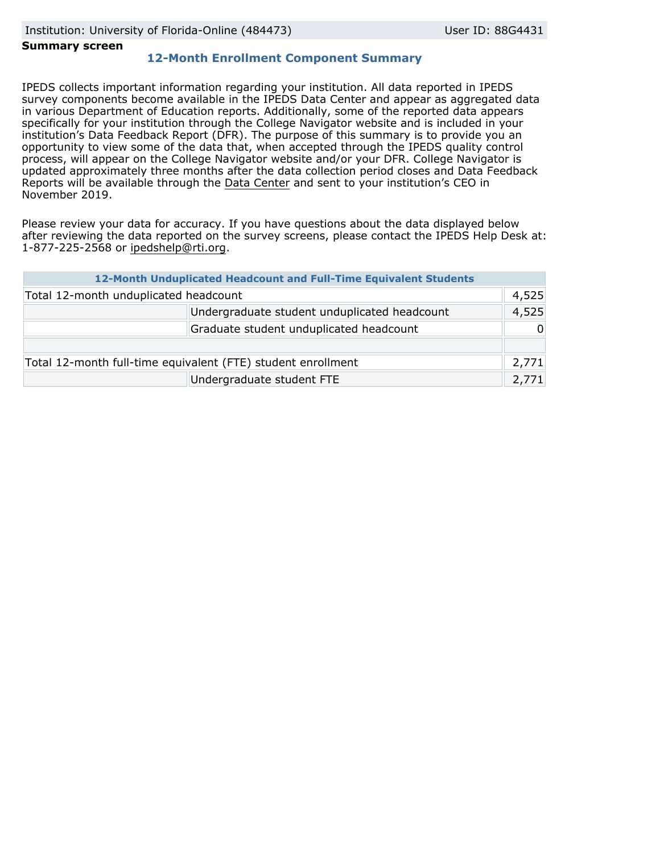## **Summary screen**

# **12-Month Enrollment Component Summary**

IPEDS collects important information regarding your institution. All data reported in IPEDS survey components become available in the IPEDS Data Center and appear as aggregated data in various Department of Education reports. Additionally, some of the reported data appears specifically for your institution through the College Navigator website and is included in your institution's Data Feedback Report (DFR). The purpose of this summary is to provide you an opportunity to view some of the data that, when accepted through the IPEDS quality control process, will appear on the College Navigator website and/or your DFR. College Navigator is updated approximately three months after the data collection period closes and Data Feedback Reports will be available through the [Data Center](https://nces.ed.gov/ipeds/use-the-data) and sent to your institution's CEO in November 2019.

Please review your data for accuracy. If you have questions about the data displayed below after reviewing the data reported on the survey screens, please contact the IPEDS Help Desk at: 1-877-225-2568 or ipedshelp@rti.org.

|                                                              | 12-Month Unduplicated Headcount and Full-Time Equivalent Students |          |
|--------------------------------------------------------------|-------------------------------------------------------------------|----------|
| Total 12-month unduplicated headcount                        |                                                                   | 4,525    |
| Undergraduate student unduplicated headcount                 |                                                                   | 4,525    |
| Graduate student unduplicated headcount                      |                                                                   | $\Omega$ |
|                                                              |                                                                   |          |
| Total 12-month full-time equivalent (FTE) student enrollment |                                                                   | 2,771    |
| Undergraduate student FTE                                    |                                                                   | 2,771    |